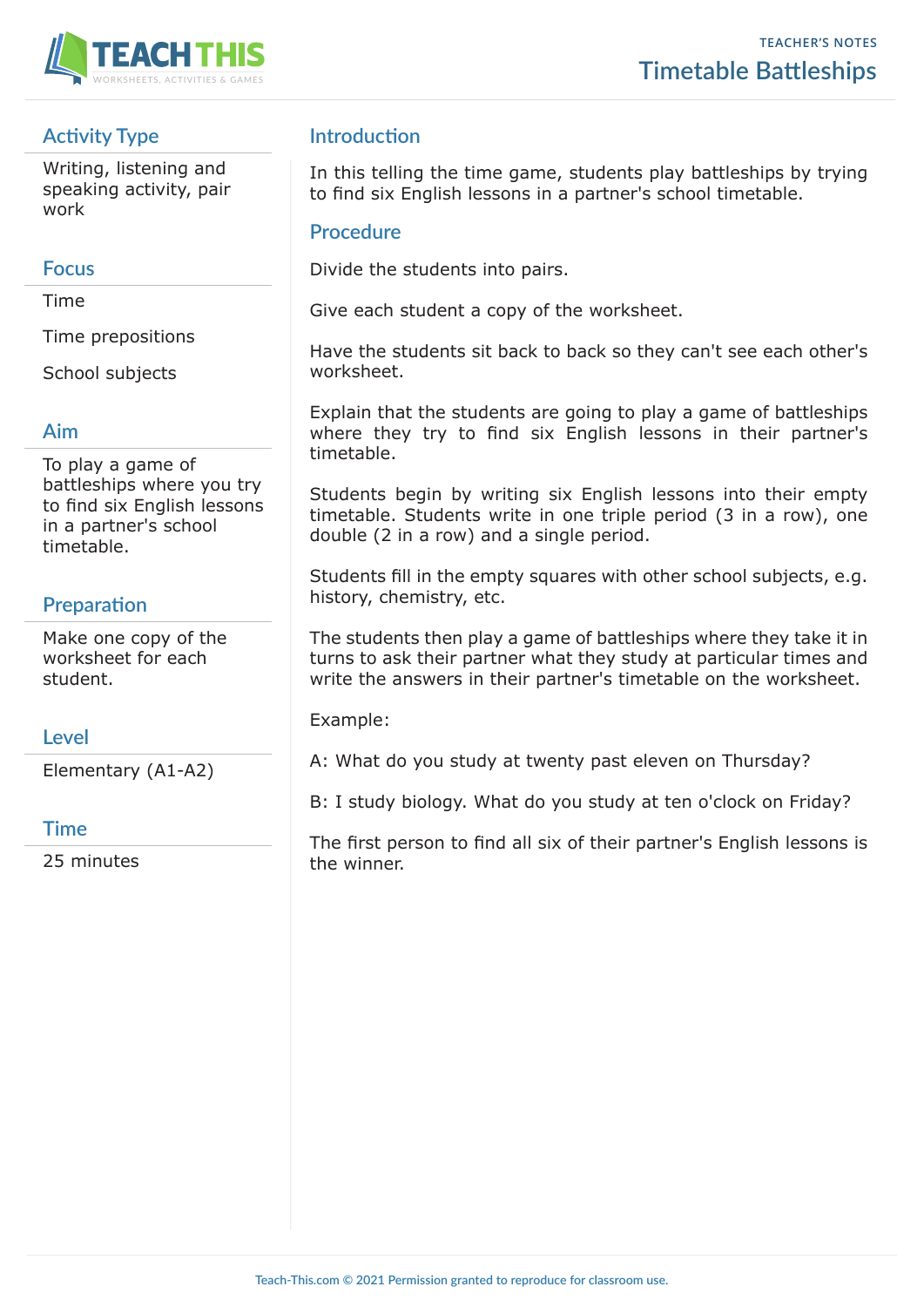

# **Activity Type**

Writing, listening and speaking activity, pair work

## **Focus**

Time

Time prepositions

School subjects

## **Aim**

To play a game of battleships where you try to find six English lessons in a partner's school timetable.

# **Preparation**

Make one copy of the worksheet for each student.

## **Level**

Elementary (A1-A2)

## **Time**

25 minutes

## **Introduction**

In this telling the time game, students play battleships by trying to find six English lessons in a partner's school timetable.

## **Procedure**

Divide the students into pairs.

Give each student a copy of the worksheet.

Have the students sit back to back so they can't see each other's worksheet.

Explain that the students are going to play a game of battleships where they try to find six English lessons in their partner's timetable.

Students begin by writing six English lessons into their empty timetable. Students write in one triple period (3 in a row), one double (2 in a row) and a single period.

Students fill in the empty squares with other school subjects, e.g. history, chemistry, etc.

The students then play a game of battleships where they take it in turns to ask their partner what they study at particular times and write the answers in their partner's timetable on the worksheet.

Example:

A: What do you study at twenty past eleven on Thursday?

B: I study biology. What do you study at ten o'clock on Friday?

The first person to find all six of their partner's English lessons is the winner.